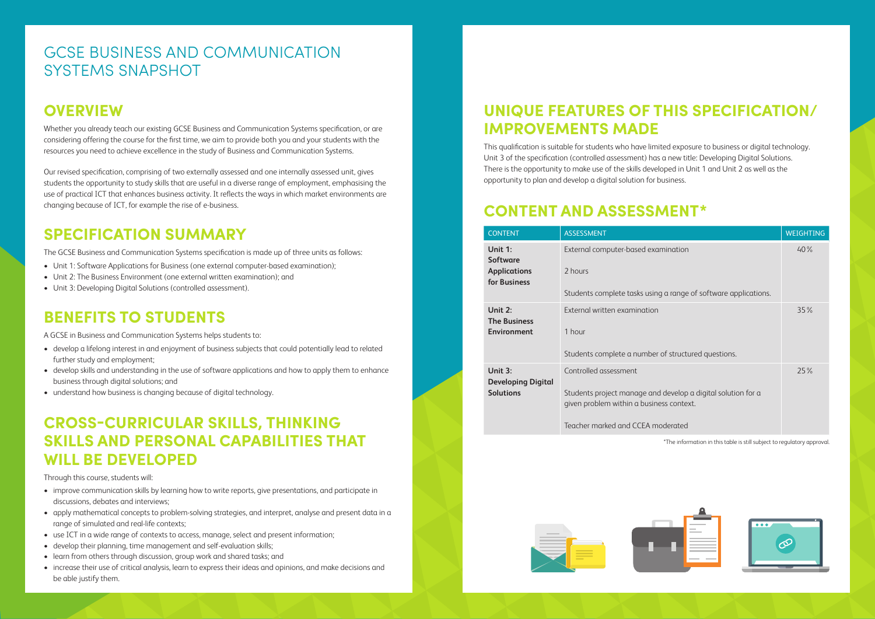## GCSE BUSINESS AND COMMUNICATION SYSTEMS SNAPSHOT

## **OVERVIEW**

Whether you already teach our existing GCSE Business and Communication Systems specification, or are considering offering the course for the first time, we aim to provide both you and your students with the resources you need to achieve excellence in the study of Business and Communication Systems.

Our revised specification, comprising of two externally assessed and one internally assessed unit, gives students the opportunity to study skills that are useful in a diverse range of employment, emphasising the use of practical ICT that enhances business activity. It reflects the ways in which market environments are changing because of ICT, for example the rise of e-business.

## **SPECIFICATION SUMMARY**

The GCSE Business and Communication Systems specification is made up of three units as follows:

- Unit 1: Software Applications for Business (one external computer-based examination);
- Unit 2: The Business Environment (one external written examination); and
- Unit 3: Developing Digital Solutions (controlled assessment).

## **BENEFITS TO STUDENTS**

A GCSE in Business and Communication Systems helps students to:

- develop a lifelong interest in and enjoyment of business subjects that could potentially lead to related further study and employment;
- develop skills and understanding in the use of software applications and how to apply them to enhance business through digital solutions; and
- understand how business is changing because of digital technology.

## **CROSS-CURRICULAR SKILLS, THINKING SKILLS AND PERSONAL CAPABILITIES THAT WILL BE DEVELOPED**

Through this course, students will:

- improve communication skills by learning how to write reports, give presentations, and participate in discussions, debates and interviews;
- apply mathematical concepts to problem-solving strategies, and interpret, analyse and present data in a range of simulated and real-life contexts;
- use ICT in a wide range of contexts to access, manage, select and present information;
- develop their planning, time management and self-evaluation skills;
- learn from others through discussion, group work and shared tasks; and
- increase their use of critical analysis, learn to express their ideas and opinions, and make decisions and be able justify them.

## **UNIQUE FEATURES OF THIS SPECIFICATION/ IMPROVEMENTS MADE**

This qualification is suitable for students who have limited exposure to business or digital technology. Unit 3 of the specification (controlled assessment) has a new title: Developing Digital Solutions. There is the opportunity to make use of the skills developed in Unit 1 and Unit 2 as well as the opportunity to plan and develop a digital solution for business.

## **CONTENT AND ASSESSMENT\***

| <b>CONTENT</b>                       | <b>ASSESSMENT</b>                                                                                        | <b>WEIGHTING</b> |
|--------------------------------------|----------------------------------------------------------------------------------------------------------|------------------|
| Unit $1$ :<br><b>Software</b>        | External computer-based examination                                                                      | 40%              |
| <b>Applications</b><br>for Business  | 2 hours                                                                                                  |                  |
|                                      | Students complete tasks using a range of software applications.                                          |                  |
| Unit 2:<br><b>The Business</b>       | External written examination                                                                             | 35%              |
| <b>Environment</b>                   | 1 hour                                                                                                   |                  |
|                                      | Students complete a number of structured questions.                                                      |                  |
| Unit 3:<br><b>Developing Digital</b> | Controlled assessment                                                                                    | 25%              |
| <b>Solutions</b>                     | Students project manage and develop a digital solution for a<br>given problem within a business context. |                  |
|                                      | Teacher marked and CCEA moderated                                                                        |                  |



\*The information in this table is still subject to regulatory approval.